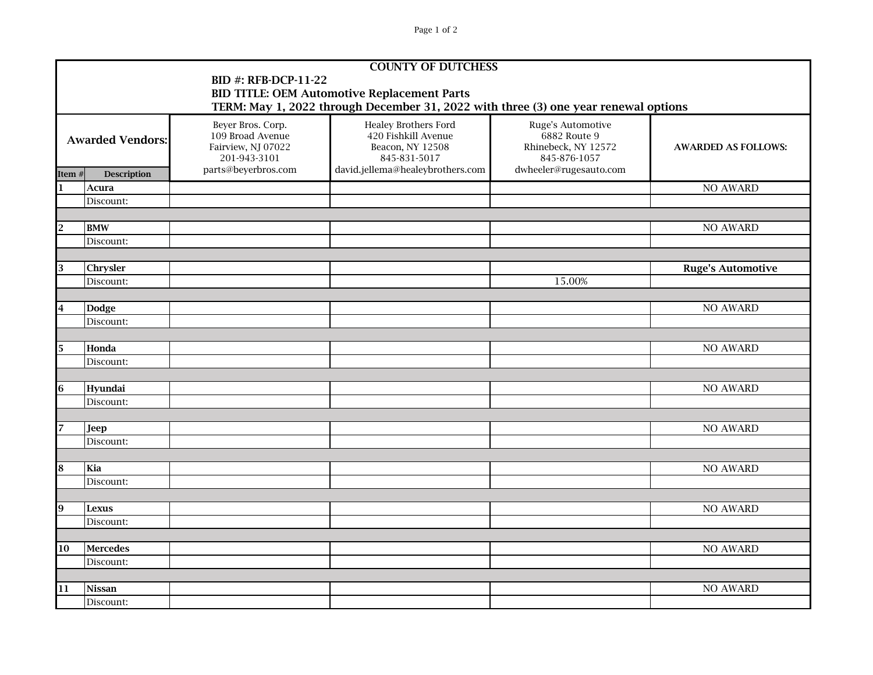Page 1 of 2

| <b>COUNTY OF DUTCHESS</b>                                                           |                         |                                                                             |                                                                                        |                                                                          |                            |  |  |  |  |
|-------------------------------------------------------------------------------------|-------------------------|-----------------------------------------------------------------------------|----------------------------------------------------------------------------------------|--------------------------------------------------------------------------|----------------------------|--|--|--|--|
| <b>BID #: RFB-DCP-11-22</b>                                                         |                         |                                                                             |                                                                                        |                                                                          |                            |  |  |  |  |
| <b>BID TITLE: OEM Automotive Replacement Parts</b>                                  |                         |                                                                             |                                                                                        |                                                                          |                            |  |  |  |  |
| TERM: May 1, 2022 through December 31, 2022 with three (3) one year renewal options |                         |                                                                             |                                                                                        |                                                                          |                            |  |  |  |  |
| <b>Awarded Vendors:</b>                                                             |                         | Beyer Bros. Corp.<br>109 Broad Avenue<br>Fairview, NJ 07022<br>201-943-3101 | <b>Healey Brothers Ford</b><br>420 Fishkill Avenue<br>Beacon, NY 12508<br>845-831-5017 | Ruge's Automotive<br>6882 Route 9<br>Rhinebeck, NY 12572<br>845-876-1057 | <b>AWARDED AS FOLLOWS:</b> |  |  |  |  |
| Item#                                                                               | <b>Description</b>      | parts@beyerbros.com                                                         | david.jellema@healeybrothers.com                                                       | dwheeler@rugesauto.com                                                   |                            |  |  |  |  |
| 1                                                                                   | Acura                   |                                                                             |                                                                                        |                                                                          | <b>NO AWARD</b>            |  |  |  |  |
|                                                                                     | Discount:               |                                                                             |                                                                                        |                                                                          |                            |  |  |  |  |
|                                                                                     |                         |                                                                             |                                                                                        |                                                                          |                            |  |  |  |  |
| $\overline{2}$                                                                      | <b>BMW</b><br>Discount: |                                                                             |                                                                                        |                                                                          | <b>NO AWARD</b>            |  |  |  |  |
|                                                                                     |                         |                                                                             |                                                                                        |                                                                          |                            |  |  |  |  |
| 3                                                                                   | Chrysler                |                                                                             |                                                                                        |                                                                          | <b>Ruge's Automotive</b>   |  |  |  |  |
|                                                                                     | Discount:               |                                                                             |                                                                                        | 15.00%                                                                   |                            |  |  |  |  |
|                                                                                     |                         |                                                                             |                                                                                        |                                                                          |                            |  |  |  |  |
| $\overline{\mathbf{4}}$                                                             | <b>Dodge</b>            |                                                                             |                                                                                        |                                                                          | <b>NO AWARD</b>            |  |  |  |  |
|                                                                                     | Discount:               |                                                                             |                                                                                        |                                                                          |                            |  |  |  |  |
|                                                                                     |                         |                                                                             |                                                                                        |                                                                          |                            |  |  |  |  |
| 5                                                                                   | Honda                   |                                                                             |                                                                                        |                                                                          | <b>NO AWARD</b>            |  |  |  |  |
|                                                                                     | Discount:               |                                                                             |                                                                                        |                                                                          |                            |  |  |  |  |
|                                                                                     |                         |                                                                             |                                                                                        |                                                                          |                            |  |  |  |  |
| 6                                                                                   | Hyundai                 |                                                                             |                                                                                        |                                                                          | <b>NO AWARD</b>            |  |  |  |  |
|                                                                                     | Discount:               |                                                                             |                                                                                        |                                                                          |                            |  |  |  |  |
| 7                                                                                   | <b>Jeep</b>             |                                                                             |                                                                                        |                                                                          | <b>NO AWARD</b>            |  |  |  |  |
|                                                                                     | Discount:               |                                                                             |                                                                                        |                                                                          |                            |  |  |  |  |
|                                                                                     |                         |                                                                             |                                                                                        |                                                                          |                            |  |  |  |  |
| 8                                                                                   | Kia                     |                                                                             |                                                                                        |                                                                          | NO AWARD                   |  |  |  |  |
|                                                                                     | Discount:               |                                                                             |                                                                                        |                                                                          |                            |  |  |  |  |
|                                                                                     |                         |                                                                             |                                                                                        |                                                                          |                            |  |  |  |  |
| 9                                                                                   | <b>Lexus</b>            |                                                                             |                                                                                        |                                                                          | <b>NO AWARD</b>            |  |  |  |  |
|                                                                                     | Discount:               |                                                                             |                                                                                        |                                                                          |                            |  |  |  |  |
|                                                                                     |                         |                                                                             |                                                                                        |                                                                          |                            |  |  |  |  |
| 10                                                                                  | <b>Mercedes</b>         |                                                                             |                                                                                        |                                                                          | <b>NO AWARD</b>            |  |  |  |  |
|                                                                                     | Discount:               |                                                                             |                                                                                        |                                                                          |                            |  |  |  |  |
|                                                                                     |                         |                                                                             |                                                                                        |                                                                          |                            |  |  |  |  |
| 11                                                                                  | <b>Nissan</b>           |                                                                             |                                                                                        |                                                                          | <b>NO AWARD</b>            |  |  |  |  |
|                                                                                     | Discount:               |                                                                             |                                                                                        |                                                                          |                            |  |  |  |  |